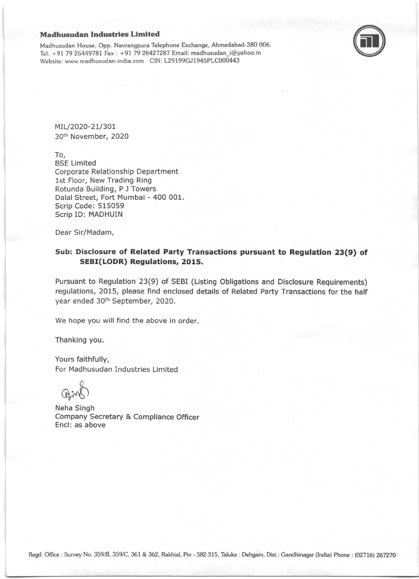## Madhusudan Industries Limited

Madhusudan House, Opp. Navrangpura Telephone Exchange, Ahmedabad-380 006. fel: +97 79 26449?81 Fax : +91 79 26427287 Email: madhusudan-i@yahoo.in Website: www.madhusudan-india.com CIN: L29199GJ1945PLC000443



MIL/2020-21/301 30th November, 2020

To, BSE Limited Corporate Relationship Department lst Floor, New Trading Ring Rotunda Building, P I Towers Dalal Street, Fort Mumbai - 400 001. Scrip Code: 515059 Scrip ID: MADHUIN

Dear Sir/Madam,

## Sub: Disclosure of Related Party Transactions pursuant to Regulation 23(9) of SEBI(LODR) Regulations, 2015.

Pursuant to Regulation 23(9) of SEBI (Listing Obligations and Disclosure Requirements) regulations, 2015, please find enclosed details of Related Party Transactions for the half year ended 30th September, 2020.

We hope you will find the above in order.

Thanking you.

Yours faithfully, For Madhusudan Industries Limited

Neha Singh Company Secretary & Compliance Officer Encl: as above